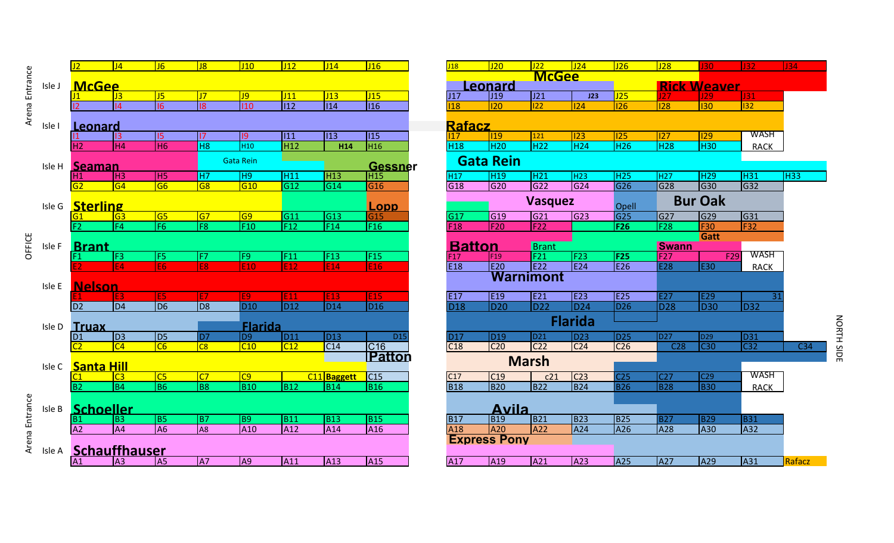| Arena Entrance |        |                                   | J <sub>4</sub>         | J6                                      | J8                     | J10                | J12                     | J14                     | J16                     | J18              | J20                      | J22                    | J24                    | J26               | $\overline{J28}$        | 30                     | J32              |
|----------------|--------|-----------------------------------|------------------------|-----------------------------------------|------------------------|--------------------|-------------------------|-------------------------|-------------------------|------------------|--------------------------|------------------------|------------------------|-------------------|-------------------------|------------------------|------------------|
|                |        |                                   |                        |                                         |                        |                    |                         |                         |                         |                  |                          | <b>McGee</b>           |                        |                   |                         |                        |                  |
|                | Isle J | <b>McGee</b>                      |                        |                                         |                        |                    |                         |                         |                         |                  | .eonard                  |                        |                        |                   |                         | <b>Rick Weaver</b>     |                  |
|                |        |                                   | J3                     | J5                                      | J <sub>7</sub>         | J9                 | J11                     | J13                     | J15                     | J17              | J <sub>19</sub>          | J21                    | J23                    | J25               | 27                      | 29                     | J31              |
|                |        |                                   | 4                      | 16                                      | 18                     | 110                | 112                     | 114                     | $\sqrt{116}$            | $\overline{128}$ | $ 120\rangle$            | $\overline{122}$       | 24                     | $\overline{126}$  | $\overline{128}$        | $\overline{130}$       | 132              |
|                |        | <b>Rafacz</b>                     |                        |                                         |                        |                    |                         |                         |                         |                  |                          |                        |                        |                   |                         |                        |                  |
|                | Isle I | Leonard                           |                        |                                         |                        |                    |                         |                         |                         |                  |                          |                        |                        |                   |                         |                        | <b>WASH</b>      |
|                |        |                                   | 3<br>H <sub>4</sub>    | $\vert$ <sub>15</sub><br>H <sub>6</sub> | 17<br>H <sub>8</sub>   | $ 9\rangle$<br>H10 | 111<br>$\overline{H12}$ | $\sqrt{113}$            | 115<br>H <sub>16</sub>  | 17               | <b>119</b><br><b>H20</b> | 121<br>H <sub>22</sub> | 123<br>H <sub>24</sub> | 125<br><b>H26</b> | 127<br>$\overline{H28}$ | 129<br>H <sub>30</sub> |                  |
|                |        | H <sub>2</sub>                    |                        |                                         |                        |                    |                         | H14                     |                         | H18              |                          |                        |                        |                   |                         |                        | <b>RACK</b>      |
|                | Isle H | <b>Gata Rein</b><br><b>Seaman</b> |                        |                                         |                        |                    |                         |                         | <b>Gessner</b>          | <b>Gata Rein</b> |                          |                        |                        |                   |                         |                        |                  |
|                |        | H1                                | H <sub>3</sub>         | H <sub>5</sub>                          | H7                     | H9                 | H11                     | H <sub>13</sub>         | H <sub>15</sub>         | H <sub>17</sub>  | H <sub>19</sub>          | H <sub>21</sub>        | H <sub>23</sub>        | H <sub>25</sub>   | H <sub>27</sub>         | H29                    | H31              |
|                |        | G2                                | G <sub>4</sub>         | G <sub>6</sub>                          | G <sub>8</sub>         | G10                | G12                     | G14                     | G16                     | G18              | G20                      | G22                    | G24                    | G26               | G28                     | G30                    | G32              |
|                |        |                                   |                        |                                         |                        |                    |                         |                         |                         |                  |                          |                        |                        |                   |                         |                        |                  |
|                | Isle G | <b>Sterling</b>                   |                        |                                         |                        |                    |                         |                         | <u>Lopp</u>             |                  |                          | <b>Vasquez</b>         |                        | Opell             |                         | <b>Bur Oak</b>         |                  |
|                |        |                                   | G <sub>3</sub>         | G <sub>5</sub>                          | G7                     | $\overline{G9}$    | $\overline{G11}$        | $\overline{G13}$        | G <sub>15</sub>         | $\overline{G17}$ | G <sub>19</sub>          | G21                    | $\overline{G}$         | G25               | G27                     | G29                    | G31              |
|                |        | F <sub>2</sub>                    | F <sub>4</sub>         | F <sub>6</sub>                          | F <sub>8</sub>         | F10                | F12                     | F14                     | F16                     | F18              | F20                      | F22                    |                        | F26               | F28                     | $\overline{F}30$       | F <sub>32</sub>  |
| OFFICE         |        |                                   |                        |                                         |                        |                    |                         |                         |                         |                  |                          |                        |                        |                   |                         | Gatt                   |                  |
|                | Isle F | <b>Brant</b>                      |                        |                                         |                        |                    |                         |                         |                         |                  | <b>Batton</b>            | <b>Brant</b>           |                        |                   | <b>Swann</b>            |                        |                  |
|                |        |                                   | F <sub>3</sub>         | F <sub>5</sub>                          | F7                     | F <sub>9</sub>     | F11                     | F13                     | F15                     | F <sub>17</sub>  | F19                      | F21                    | F23                    | F25               | F27                     |                        | WASH<br>F29      |
|                |        |                                   | lE4.                   | IE6                                     | IF8                    | <b>E10</b>         | E12                     | E14                     | E16                     | E <sub>18</sub>  | E20                      | E22                    | E24                    | E26               | E28                     | E30                    | <b>RACK</b>      |
|                | Isle E | <b>Warnimont</b><br><b>Nelson</b> |                        |                                         |                        |                    |                         |                         |                         |                  |                          |                        |                        |                   |                         |                        |                  |
|                |        |                                   |                        | E <sub>5</sub>                          | le7                    | E <sub>9</sub>     | E11                     | E <sub>13</sub>         | E <sub>15</sub>         | E17              | E <sub>19</sub>          | E21                    | E23                    | E25               | E27                     | E29                    |                  |
|                |        | D2                                | D <sub>4</sub>         | $\overline{$                            | D <sub>8</sub>         | D <sub>10</sub>    | $\overline{D12}$        | D14                     | D <sub>16</sub>         | <b>D18</b>       | D20                      | D22                    | D <sub>24</sub>        | D <sub>26</sub>   | D28                     | <b>D30</b>             | <b>D32</b>       |
|                |        |                                   |                        |                                         |                        |                    |                         |                         |                         |                  |                          |                        |                        |                   |                         |                        |                  |
|                | Isle D | <b>Truax</b>                      |                        |                                         |                        | <b>Flarida</b>     |                         |                         |                         |                  |                          |                        | <b>Flarida</b>         |                   |                         |                        |                  |
|                |        | D <sub>1</sub>                    | $\overline{D3}$        | $\overline{D5}$                         | D7                     | D <sub>9</sub>     | D11                     | D13                     | D <sub>15</sub>         | <b>D17</b>       | D <sub>19</sub>          | D21                    | <b>D23</b>             | <b>D25</b>        | <b>D27</b>              | D <sub>29</sub>        | <b>D31</b>       |
|                |        |                                   | C <sub>4</sub>         | $\overline{\overline{\text{C6}}}$       | $\overline{\text{C8}}$ | $\overline{C10}$   | C12                     | C14                     | $\overline{C16}$        | C18              | C <sub>20</sub>          | C <sub>22</sub>        | C <sub>24</sub>        | C <sub>26</sub>   | C <sub>28</sub>         | $\overline{C30}$       | C <sub>32</sub>  |
|                |        |                                   |                        |                                         |                        |                    |                         |                         | Patton                  |                  |                          | <b>Marsh</b>           |                        |                   |                         |                        |                  |
|                | Isle C | <b>Santa Hill</b>                 |                        |                                         |                        |                    |                         |                         |                         |                  |                          |                        |                        |                   |                         |                        |                  |
|                |        |                                   | $\overline{\text{C3}}$ | C5                                      | C <sub>7</sub>         | C9                 |                         | C <sub>11</sub> Baggett | $\overline{\text{C15}}$ | C17              | C19                      | c21                    | C <sub>23</sub>        | C <sub>25</sub>   | C <sub>27</sub>         | C <sub>29</sub>        | WASH             |
|                |        | B <sub>2</sub>                    | B <sub>4</sub>         | B <sub>6</sub>                          | B <sub>8</sub>         | $\overline{B10}$   | <b>B12</b>              | $\overline{B14}$        | <b>B16</b>              | <b>B18</b>       | <b>B20</b>               | <b>B22</b>             | <b>B24</b>             | <b>B26</b>        | <b>B28</b>              | <b>B30</b>             | <b>RACK</b>      |
| ena Entrance   |        |                                   |                        |                                         |                        |                    |                         |                         |                         |                  |                          |                        |                        |                   |                         |                        |                  |
|                | Isle B | <b>Schoeller</b>                  |                        |                                         |                        |                    |                         |                         | <b>Avila</b>            |                  |                          |                        |                        |                   |                         |                        |                  |
|                |        | В1                                | $\overline{B}$         | <b>B5</b>                               | $\overline{B}$         | B <sub>9</sub>     | <b>B11</b>              | $\overline{B13}$        | <b>B15</b>              | <b>B17</b>       | <b>B19</b>               | <b>B21</b>             | <b>B23</b>             | <b>B25</b>        | <b>B27</b>              | <b>B29</b>             | <b>B31</b>       |
|                |        | A2                                | A <sup>4</sup>         | A6                                      | A <sub>8</sub>         | A <sub>10</sub>    | A12                     | A14                     | A <sub>16</sub>         | A18              | A20                      | A22                    | A24                    | A26               | A28                     | A30                    | A32              |
|                |        |                                   |                        |                                         |                        |                    |                         |                         | <b>Express Pony</b>     |                  |                          |                        |                        |                   |                         |                        |                  |
| ā٤             | Isle A | Schauffhauser                     |                        |                                         |                        |                    |                         |                         |                         |                  |                          |                        |                        |                   |                         |                        |                  |
|                |        | $\mathsf{A}1$                     | $\mathsf{IA}3$         | IA <sub>5</sub>                         | $\overline{A7}$        | A9                 | $\overline{A11}$        | $\overline{A13}$        | $\overline{A15}$        | A17              | AA19                     | $\overline{A21}$       | $\overline{A23}$       | A25               | $\overline{A27}$        | A29                    | $\overline{A31}$ |

| J20<br>J26<br>J6<br>J8<br>J12<br>J14<br>J16<br>J18<br>J22<br>J24<br>$\overline{J28}$<br>J4<br>J10<br><b>McGee</b><br><u> McGee</u><br><b>Rick Weaver</b><br><u>.eonard</u><br>J5<br>J21<br>$\overline{J}$<br>$\overline{19}$<br>J11<br>J13<br>J15<br> J19<br>J25<br>J3<br>J17<br>J23<br>J27<br>129<br>116<br>16<br> 8 <br>$ 12\rangle$<br>114<br>$ 120\rangle$<br>110<br>$\overline{122}$<br> 24 <br>$\overline{126}$<br>$\overline{128}$<br>$ 130\rangle$<br> 4 <br>118<br><b>Rafacz</b><br>Leonard<br> 11<br><sup>113</sup><br>115<br>$ 119\rangle$<br>123<br>125<br>127<br> 129 <br> 3 <br> 5 <br> 17<br>121<br> 9<br>117<br>$\overline{H26}$<br>H <sub>6</sub><br>H <sub>8</sub><br>H <sub>22</sub><br>$\overline{12}$<br>H <sub>12</sub><br>H <sub>16</sub><br>H18<br>H <sub>24</sub><br><b>H28</b><br><b>H30</b><br>H <sub>4</sub><br>H <sub>10</sub><br><b>H20</b><br>H14<br><b>Gata Rein</b><br><b>Gata Rein</b><br><b>Gessner</b><br><u>Seaman</u><br>H19<br>H <sub>21</sub><br>H <sub>3</sub><br>H <sub>5</sub><br>H9<br>H <sub>11</sub><br>H13<br>H <sub>15</sub><br>H17<br>H <sub>23</sub><br>H <sub>25</sub><br>H <sub>27</sub><br>H <sub>29</sub><br>H7<br>11,<br>$\overline{\mathsf{G6}}$<br>$\sqrt{G12}$<br>G20<br>G22<br>G24<br>G <sub>26</sub><br>G28<br>G30<br>G <sub>4</sub><br>G <sub>8</sub><br>G10<br>$\sqrt{G14}$<br>G16<br>G18<br><b>Bur Oak</b><br><b>Vasquez</b><br><u>Sterling</u><br><b>Lopp</b><br>Opell<br>$\overline{\text{G25}}$<br> G11<br>$\overline{G13}$<br>G17<br>G29<br>G5<br>$\overline{G}$<br>$\sqrt{G19}$<br>G21<br>$\sqrt{G23}$<br>G27<br>G <sub>3</sub><br>G <sub>9</sub><br>G15<br>F6<br>F <sub>8</sub><br>F26<br>F10<br>F12<br>F14<br>F16<br>F20<br>F22<br>F28<br>$\overline{F30}$<br>F4<br>F18<br>Gatt<br><b>Batton</b><br><b>Brant</b><br><b>Swann</b><br><b>Brant</b><br>F <sub>21</sub><br>$F_3$<br>F <sub>5</sub><br>$\overline{F}$<br>F13<br>F15<br>F23<br>F25<br>F27<br>F29<br>F9<br>F11<br>F <sub>19</sub><br>F17<br>E18<br>E20<br>E26<br><b>E28</b><br>E22<br>E24<br><b>E30</b><br>IE4<br>IE6<br>IE8<br><b>IE10</b><br>IF12<br>E14<br>E <sub>16</sub><br><b>Warnimont</b><br><b>Nelson</b><br>E19<br>E21<br>E23<br>E25<br>E17<br>E27<br>E29<br>E <sub>15</sub><br>E <sub>5</sub><br>IF7<br>F9.<br>IE11<br>E <sub>13</sub><br>D <sub>6</sub><br>$\overline{D12}$<br>D <sub>16</sub><br>D <sub>18</sub><br>D20<br><b>D22</b><br>D24<br><b>D28</b><br><b>D30</b><br>D4<br>$\overline{DB}$<br>D14<br>D <sub>26</sub><br>$\overline{2}$<br><b>D10</b><br><b>Flarida</b><br><b>Flarida</b><br><b>Fruax</b><br>D <sub>5</sub><br>$\overline{D3}$<br>$\overline{D7}$<br>D11<br>D19<br>D13<br>D <sub>17</sub><br><b>D23</b><br><b>D25</b><br><b>D27</b><br>D <sub>9</sub><br>D <sub>21</sub><br>D <sub>29</sub><br>D <sub>15</sub><br>)1<br>$\overline{\text{C6}}$<br>$\overline{C16}$<br>$\overline{C4}$<br>C <sub>20</sub><br>C30<br>$\overline{\text{C8}}$<br>$\overline{C10}$<br> C12 <br>C14<br>C <sub>22</sub><br>C <sub>24</sub><br>C <sub>26</sub><br>C <sub>28</sub><br>C18<br><b>Patton</b><br><b>Marsh</b><br><u>Santa Hill</u><br>C15<br>C <sub>23</sub><br>C <sub>25</sub><br>$rac{C5}{B6}$<br> C7 <br>$\overline{C9}$<br>C11 Baggett<br>C17<br>C19<br>c21<br>C <sub>27</sub><br>C29<br>C <sub>3</sub><br><b>B20</b><br>B <sub>8</sub><br><b>B18</b><br><b>B24</b><br><b>B26</b><br><b>B28</b><br><b>B30</b><br><b>B4</b><br><b>B10</b><br>$\overline{B12}$<br><b>B16</b><br><b>B22</b><br>12.<br>$\overline{B14}$<br><u>Schoeller</u><br><b>Avila</b><br><b>B13</b><br><b>B15</b><br><b>B21</b><br>B23<br>B <sub>5</sub><br>$\overline{B}$<br>B <sub>9</sub><br><b>B11</b><br><b>B17</b><br><b>B19</b><br><b>B25</b><br><b>B27</b><br><b>B29</b><br><b>B</b> 3<br>A <sub>6</sub><br>A <sub>8</sub><br>A10<br>A12<br>A20<br>A22<br>A24<br>A26<br>A28<br>$\overline{2}$<br>$\overline{A4}$<br>A14<br>A <sub>16</sub><br>A18<br>A30<br><b>Express Pony</b><br><b>Schauffhauser</b><br>A25<br>A17<br>$\overline{A19}$<br>$\overline{A21}$<br>$\overline{A23}$<br>$\overline{A27}$<br>$\overline{A29}$ |                |            |                 |                 |                 |                  |                  |                  |
|---------------------------------------------------------------------------------------------------------------------------------------------------------------------------------------------------------------------------------------------------------------------------------------------------------------------------------------------------------------------------------------------------------------------------------------------------------------------------------------------------------------------------------------------------------------------------------------------------------------------------------------------------------------------------------------------------------------------------------------------------------------------------------------------------------------------------------------------------------------------------------------------------------------------------------------------------------------------------------------------------------------------------------------------------------------------------------------------------------------------------------------------------------------------------------------------------------------------------------------------------------------------------------------------------------------------------------------------------------------------------------------------------------------------------------------------------------------------------------------------------------------------------------------------------------------------------------------------------------------------------------------------------------------------------------------------------------------------------------------------------------------------------------------------------------------------------------------------------------------------------------------------------------------------------------------------------------------------------------------------------------------------------------------------------------------------------------------------------------------------------------------------------------------------------------------------------------------------------------------------------------------------------------------------------------------------------------------------------------------------------------------------------------------------------------------------------------------------------------------------------------------------------------------------------------------------------------------------------------------------------------------------------------------------------------------------------------------------------------------------------------------------------------------------------------------------------------------------------------------------------------------------------------------------------------------------------------------------------------------------------------------------------------------------------------------------------------------------------------------------------------------------------------------------------------------------------------------------------------------------------------------------------------------------------------------------------------------------------------------------------------------------------------------------------------------------------------------------------------------------------------------------------------------------------------------------------------------------------------------------------------------------------------------------------------------------------------------------------------------------------------------------------------------------------------------------------------------------------------------------------------------------------------------------------------------------------------------------------------------------------------------------------------------------------------------|----------------|------------|-----------------|-----------------|-----------------|------------------|------------------|------------------|
|                                                                                                                                                                                                                                                                                                                                                                                                                                                                                                                                                                                                                                                                                                                                                                                                                                                                                                                                                                                                                                                                                                                                                                                                                                                                                                                                                                                                                                                                                                                                                                                                                                                                                                                                                                                                                                                                                                                                                                                                                                                                                                                                                                                                                                                                                                                                                                                                                                                                                                                                                                                                                                                                                                                                                                                                                                                                                                                                                                                                                                                                                                                                                                                                                                                                                                                                                                                                                                                                                                                                                                                                                                                                                                                                                                                                                                                                                                                                                                                                                                                               |                |            |                 |                 |                 |                  |                  |                  |
|                                                                                                                                                                                                                                                                                                                                                                                                                                                                                                                                                                                                                                                                                                                                                                                                                                                                                                                                                                                                                                                                                                                                                                                                                                                                                                                                                                                                                                                                                                                                                                                                                                                                                                                                                                                                                                                                                                                                                                                                                                                                                                                                                                                                                                                                                                                                                                                                                                                                                                                                                                                                                                                                                                                                                                                                                                                                                                                                                                                                                                                                                                                                                                                                                                                                                                                                                                                                                                                                                                                                                                                                                                                                                                                                                                                                                                                                                                                                                                                                                                                               |                |            |                 |                 |                 |                  |                  |                  |
|                                                                                                                                                                                                                                                                                                                                                                                                                                                                                                                                                                                                                                                                                                                                                                                                                                                                                                                                                                                                                                                                                                                                                                                                                                                                                                                                                                                                                                                                                                                                                                                                                                                                                                                                                                                                                                                                                                                                                                                                                                                                                                                                                                                                                                                                                                                                                                                                                                                                                                                                                                                                                                                                                                                                                                                                                                                                                                                                                                                                                                                                                                                                                                                                                                                                                                                                                                                                                                                                                                                                                                                                                                                                                                                                                                                                                                                                                                                                                                                                                                                               |                |            |                 |                 |                 |                  |                  |                  |
|                                                                                                                                                                                                                                                                                                                                                                                                                                                                                                                                                                                                                                                                                                                                                                                                                                                                                                                                                                                                                                                                                                                                                                                                                                                                                                                                                                                                                                                                                                                                                                                                                                                                                                                                                                                                                                                                                                                                                                                                                                                                                                                                                                                                                                                                                                                                                                                                                                                                                                                                                                                                                                                                                                                                                                                                                                                                                                                                                                                                                                                                                                                                                                                                                                                                                                                                                                                                                                                                                                                                                                                                                                                                                                                                                                                                                                                                                                                                                                                                                                                               |                |            |                 |                 |                 |                  |                  |                  |
|                                                                                                                                                                                                                                                                                                                                                                                                                                                                                                                                                                                                                                                                                                                                                                                                                                                                                                                                                                                                                                                                                                                                                                                                                                                                                                                                                                                                                                                                                                                                                                                                                                                                                                                                                                                                                                                                                                                                                                                                                                                                                                                                                                                                                                                                                                                                                                                                                                                                                                                                                                                                                                                                                                                                                                                                                                                                                                                                                                                                                                                                                                                                                                                                                                                                                                                                                                                                                                                                                                                                                                                                                                                                                                                                                                                                                                                                                                                                                                                                                                                               |                |            |                 |                 |                 |                  |                  |                  |
|                                                                                                                                                                                                                                                                                                                                                                                                                                                                                                                                                                                                                                                                                                                                                                                                                                                                                                                                                                                                                                                                                                                                                                                                                                                                                                                                                                                                                                                                                                                                                                                                                                                                                                                                                                                                                                                                                                                                                                                                                                                                                                                                                                                                                                                                                                                                                                                                                                                                                                                                                                                                                                                                                                                                                                                                                                                                                                                                                                                                                                                                                                                                                                                                                                                                                                                                                                                                                                                                                                                                                                                                                                                                                                                                                                                                                                                                                                                                                                                                                                                               |                |            |                 |                 |                 |                  |                  |                  |
|                                                                                                                                                                                                                                                                                                                                                                                                                                                                                                                                                                                                                                                                                                                                                                                                                                                                                                                                                                                                                                                                                                                                                                                                                                                                                                                                                                                                                                                                                                                                                                                                                                                                                                                                                                                                                                                                                                                                                                                                                                                                                                                                                                                                                                                                                                                                                                                                                                                                                                                                                                                                                                                                                                                                                                                                                                                                                                                                                                                                                                                                                                                                                                                                                                                                                                                                                                                                                                                                                                                                                                                                                                                                                                                                                                                                                                                                                                                                                                                                                                                               |                |            |                 |                 |                 |                  |                  |                  |
|                                                                                                                                                                                                                                                                                                                                                                                                                                                                                                                                                                                                                                                                                                                                                                                                                                                                                                                                                                                                                                                                                                                                                                                                                                                                                                                                                                                                                                                                                                                                                                                                                                                                                                                                                                                                                                                                                                                                                                                                                                                                                                                                                                                                                                                                                                                                                                                                                                                                                                                                                                                                                                                                                                                                                                                                                                                                                                                                                                                                                                                                                                                                                                                                                                                                                                                                                                                                                                                                                                                                                                                                                                                                                                                                                                                                                                                                                                                                                                                                                                                               |                |            |                 |                 |                 |                  |                  |                  |
|                                                                                                                                                                                                                                                                                                                                                                                                                                                                                                                                                                                                                                                                                                                                                                                                                                                                                                                                                                                                                                                                                                                                                                                                                                                                                                                                                                                                                                                                                                                                                                                                                                                                                                                                                                                                                                                                                                                                                                                                                                                                                                                                                                                                                                                                                                                                                                                                                                                                                                                                                                                                                                                                                                                                                                                                                                                                                                                                                                                                                                                                                                                                                                                                                                                                                                                                                                                                                                                                                                                                                                                                                                                                                                                                                                                                                                                                                                                                                                                                                                                               |                |            |                 |                 |                 |                  |                  |                  |
|                                                                                                                                                                                                                                                                                                                                                                                                                                                                                                                                                                                                                                                                                                                                                                                                                                                                                                                                                                                                                                                                                                                                                                                                                                                                                                                                                                                                                                                                                                                                                                                                                                                                                                                                                                                                                                                                                                                                                                                                                                                                                                                                                                                                                                                                                                                                                                                                                                                                                                                                                                                                                                                                                                                                                                                                                                                                                                                                                                                                                                                                                                                                                                                                                                                                                                                                                                                                                                                                                                                                                                                                                                                                                                                                                                                                                                                                                                                                                                                                                                                               |                |            |                 |                 |                 |                  |                  |                  |
|                                                                                                                                                                                                                                                                                                                                                                                                                                                                                                                                                                                                                                                                                                                                                                                                                                                                                                                                                                                                                                                                                                                                                                                                                                                                                                                                                                                                                                                                                                                                                                                                                                                                                                                                                                                                                                                                                                                                                                                                                                                                                                                                                                                                                                                                                                                                                                                                                                                                                                                                                                                                                                                                                                                                                                                                                                                                                                                                                                                                                                                                                                                                                                                                                                                                                                                                                                                                                                                                                                                                                                                                                                                                                                                                                                                                                                                                                                                                                                                                                                                               |                |            |                 |                 |                 |                  |                  |                  |
|                                                                                                                                                                                                                                                                                                                                                                                                                                                                                                                                                                                                                                                                                                                                                                                                                                                                                                                                                                                                                                                                                                                                                                                                                                                                                                                                                                                                                                                                                                                                                                                                                                                                                                                                                                                                                                                                                                                                                                                                                                                                                                                                                                                                                                                                                                                                                                                                                                                                                                                                                                                                                                                                                                                                                                                                                                                                                                                                                                                                                                                                                                                                                                                                                                                                                                                                                                                                                                                                                                                                                                                                                                                                                                                                                                                                                                                                                                                                                                                                                                                               |                |            |                 |                 |                 |                  |                  |                  |
|                                                                                                                                                                                                                                                                                                                                                                                                                                                                                                                                                                                                                                                                                                                                                                                                                                                                                                                                                                                                                                                                                                                                                                                                                                                                                                                                                                                                                                                                                                                                                                                                                                                                                                                                                                                                                                                                                                                                                                                                                                                                                                                                                                                                                                                                                                                                                                                                                                                                                                                                                                                                                                                                                                                                                                                                                                                                                                                                                                                                                                                                                                                                                                                                                                                                                                                                                                                                                                                                                                                                                                                                                                                                                                                                                                                                                                                                                                                                                                                                                                                               |                |            |                 |                 |                 |                  |                  |                  |
|                                                                                                                                                                                                                                                                                                                                                                                                                                                                                                                                                                                                                                                                                                                                                                                                                                                                                                                                                                                                                                                                                                                                                                                                                                                                                                                                                                                                                                                                                                                                                                                                                                                                                                                                                                                                                                                                                                                                                                                                                                                                                                                                                                                                                                                                                                                                                                                                                                                                                                                                                                                                                                                                                                                                                                                                                                                                                                                                                                                                                                                                                                                                                                                                                                                                                                                                                                                                                                                                                                                                                                                                                                                                                                                                                                                                                                                                                                                                                                                                                                                               |                |            |                 |                 |                 |                  |                  |                  |
|                                                                                                                                                                                                                                                                                                                                                                                                                                                                                                                                                                                                                                                                                                                                                                                                                                                                                                                                                                                                                                                                                                                                                                                                                                                                                                                                                                                                                                                                                                                                                                                                                                                                                                                                                                                                                                                                                                                                                                                                                                                                                                                                                                                                                                                                                                                                                                                                                                                                                                                                                                                                                                                                                                                                                                                                                                                                                                                                                                                                                                                                                                                                                                                                                                                                                                                                                                                                                                                                                                                                                                                                                                                                                                                                                                                                                                                                                                                                                                                                                                                               |                |            |                 |                 |                 |                  |                  |                  |
|                                                                                                                                                                                                                                                                                                                                                                                                                                                                                                                                                                                                                                                                                                                                                                                                                                                                                                                                                                                                                                                                                                                                                                                                                                                                                                                                                                                                                                                                                                                                                                                                                                                                                                                                                                                                                                                                                                                                                                                                                                                                                                                                                                                                                                                                                                                                                                                                                                                                                                                                                                                                                                                                                                                                                                                                                                                                                                                                                                                                                                                                                                                                                                                                                                                                                                                                                                                                                                                                                                                                                                                                                                                                                                                                                                                                                                                                                                                                                                                                                                                               |                |            |                 |                 |                 |                  |                  |                  |
|                                                                                                                                                                                                                                                                                                                                                                                                                                                                                                                                                                                                                                                                                                                                                                                                                                                                                                                                                                                                                                                                                                                                                                                                                                                                                                                                                                                                                                                                                                                                                                                                                                                                                                                                                                                                                                                                                                                                                                                                                                                                                                                                                                                                                                                                                                                                                                                                                                                                                                                                                                                                                                                                                                                                                                                                                                                                                                                                                                                                                                                                                                                                                                                                                                                                                                                                                                                                                                                                                                                                                                                                                                                                                                                                                                                                                                                                                                                                                                                                                                                               |                |            |                 |                 |                 |                  |                  |                  |
|                                                                                                                                                                                                                                                                                                                                                                                                                                                                                                                                                                                                                                                                                                                                                                                                                                                                                                                                                                                                                                                                                                                                                                                                                                                                                                                                                                                                                                                                                                                                                                                                                                                                                                                                                                                                                                                                                                                                                                                                                                                                                                                                                                                                                                                                                                                                                                                                                                                                                                                                                                                                                                                                                                                                                                                                                                                                                                                                                                                                                                                                                                                                                                                                                                                                                                                                                                                                                                                                                                                                                                                                                                                                                                                                                                                                                                                                                                                                                                                                                                                               |                |            |                 |                 |                 |                  |                  |                  |
|                                                                                                                                                                                                                                                                                                                                                                                                                                                                                                                                                                                                                                                                                                                                                                                                                                                                                                                                                                                                                                                                                                                                                                                                                                                                                                                                                                                                                                                                                                                                                                                                                                                                                                                                                                                                                                                                                                                                                                                                                                                                                                                                                                                                                                                                                                                                                                                                                                                                                                                                                                                                                                                                                                                                                                                                                                                                                                                                                                                                                                                                                                                                                                                                                                                                                                                                                                                                                                                                                                                                                                                                                                                                                                                                                                                                                                                                                                                                                                                                                                                               |                |            |                 |                 |                 |                  |                  |                  |
|                                                                                                                                                                                                                                                                                                                                                                                                                                                                                                                                                                                                                                                                                                                                                                                                                                                                                                                                                                                                                                                                                                                                                                                                                                                                                                                                                                                                                                                                                                                                                                                                                                                                                                                                                                                                                                                                                                                                                                                                                                                                                                                                                                                                                                                                                                                                                                                                                                                                                                                                                                                                                                                                                                                                                                                                                                                                                                                                                                                                                                                                                                                                                                                                                                                                                                                                                                                                                                                                                                                                                                                                                                                                                                                                                                                                                                                                                                                                                                                                                                                               |                |            |                 |                 |                 |                  |                  |                  |
|                                                                                                                                                                                                                                                                                                                                                                                                                                                                                                                                                                                                                                                                                                                                                                                                                                                                                                                                                                                                                                                                                                                                                                                                                                                                                                                                                                                                                                                                                                                                                                                                                                                                                                                                                                                                                                                                                                                                                                                                                                                                                                                                                                                                                                                                                                                                                                                                                                                                                                                                                                                                                                                                                                                                                                                                                                                                                                                                                                                                                                                                                                                                                                                                                                                                                                                                                                                                                                                                                                                                                                                                                                                                                                                                                                                                                                                                                                                                                                                                                                                               |                |            |                 |                 |                 |                  |                  |                  |
|                                                                                                                                                                                                                                                                                                                                                                                                                                                                                                                                                                                                                                                                                                                                                                                                                                                                                                                                                                                                                                                                                                                                                                                                                                                                                                                                                                                                                                                                                                                                                                                                                                                                                                                                                                                                                                                                                                                                                                                                                                                                                                                                                                                                                                                                                                                                                                                                                                                                                                                                                                                                                                                                                                                                                                                                                                                                                                                                                                                                                                                                                                                                                                                                                                                                                                                                                                                                                                                                                                                                                                                                                                                                                                                                                                                                                                                                                                                                                                                                                                                               |                |            |                 |                 |                 |                  |                  |                  |
|                                                                                                                                                                                                                                                                                                                                                                                                                                                                                                                                                                                                                                                                                                                                                                                                                                                                                                                                                                                                                                                                                                                                                                                                                                                                                                                                                                                                                                                                                                                                                                                                                                                                                                                                                                                                                                                                                                                                                                                                                                                                                                                                                                                                                                                                                                                                                                                                                                                                                                                                                                                                                                                                                                                                                                                                                                                                                                                                                                                                                                                                                                                                                                                                                                                                                                                                                                                                                                                                                                                                                                                                                                                                                                                                                                                                                                                                                                                                                                                                                                                               |                |            |                 |                 |                 |                  |                  |                  |
|                                                                                                                                                                                                                                                                                                                                                                                                                                                                                                                                                                                                                                                                                                                                                                                                                                                                                                                                                                                                                                                                                                                                                                                                                                                                                                                                                                                                                                                                                                                                                                                                                                                                                                                                                                                                                                                                                                                                                                                                                                                                                                                                                                                                                                                                                                                                                                                                                                                                                                                                                                                                                                                                                                                                                                                                                                                                                                                                                                                                                                                                                                                                                                                                                                                                                                                                                                                                                                                                                                                                                                                                                                                                                                                                                                                                                                                                                                                                                                                                                                                               |                |            |                 |                 |                 |                  |                  |                  |
|                                                                                                                                                                                                                                                                                                                                                                                                                                                                                                                                                                                                                                                                                                                                                                                                                                                                                                                                                                                                                                                                                                                                                                                                                                                                                                                                                                                                                                                                                                                                                                                                                                                                                                                                                                                                                                                                                                                                                                                                                                                                                                                                                                                                                                                                                                                                                                                                                                                                                                                                                                                                                                                                                                                                                                                                                                                                                                                                                                                                                                                                                                                                                                                                                                                                                                                                                                                                                                                                                                                                                                                                                                                                                                                                                                                                                                                                                                                                                                                                                                                               |                |            |                 |                 |                 |                  |                  |                  |
|                                                                                                                                                                                                                                                                                                                                                                                                                                                                                                                                                                                                                                                                                                                                                                                                                                                                                                                                                                                                                                                                                                                                                                                                                                                                                                                                                                                                                                                                                                                                                                                                                                                                                                                                                                                                                                                                                                                                                                                                                                                                                                                                                                                                                                                                                                                                                                                                                                                                                                                                                                                                                                                                                                                                                                                                                                                                                                                                                                                                                                                                                                                                                                                                                                                                                                                                                                                                                                                                                                                                                                                                                                                                                                                                                                                                                                                                                                                                                                                                                                                               |                |            |                 |                 |                 |                  |                  |                  |
|                                                                                                                                                                                                                                                                                                                                                                                                                                                                                                                                                                                                                                                                                                                                                                                                                                                                                                                                                                                                                                                                                                                                                                                                                                                                                                                                                                                                                                                                                                                                                                                                                                                                                                                                                                                                                                                                                                                                                                                                                                                                                                                                                                                                                                                                                                                                                                                                                                                                                                                                                                                                                                                                                                                                                                                                                                                                                                                                                                                                                                                                                                                                                                                                                                                                                                                                                                                                                                                                                                                                                                                                                                                                                                                                                                                                                                                                                                                                                                                                                                                               |                |            |                 |                 |                 |                  |                  |                  |
|                                                                                                                                                                                                                                                                                                                                                                                                                                                                                                                                                                                                                                                                                                                                                                                                                                                                                                                                                                                                                                                                                                                                                                                                                                                                                                                                                                                                                                                                                                                                                                                                                                                                                                                                                                                                                                                                                                                                                                                                                                                                                                                                                                                                                                                                                                                                                                                                                                                                                                                                                                                                                                                                                                                                                                                                                                                                                                                                                                                                                                                                                                                                                                                                                                                                                                                                                                                                                                                                                                                                                                                                                                                                                                                                                                                                                                                                                                                                                                                                                                                               |                |            |                 |                 |                 |                  |                  |                  |
|                                                                                                                                                                                                                                                                                                                                                                                                                                                                                                                                                                                                                                                                                                                                                                                                                                                                                                                                                                                                                                                                                                                                                                                                                                                                                                                                                                                                                                                                                                                                                                                                                                                                                                                                                                                                                                                                                                                                                                                                                                                                                                                                                                                                                                                                                                                                                                                                                                                                                                                                                                                                                                                                                                                                                                                                                                                                                                                                                                                                                                                                                                                                                                                                                                                                                                                                                                                                                                                                                                                                                                                                                                                                                                                                                                                                                                                                                                                                                                                                                                                               |                |            |                 |                 |                 |                  |                  |                  |
|                                                                                                                                                                                                                                                                                                                                                                                                                                                                                                                                                                                                                                                                                                                                                                                                                                                                                                                                                                                                                                                                                                                                                                                                                                                                                                                                                                                                                                                                                                                                                                                                                                                                                                                                                                                                                                                                                                                                                                                                                                                                                                                                                                                                                                                                                                                                                                                                                                                                                                                                                                                                                                                                                                                                                                                                                                                                                                                                                                                                                                                                                                                                                                                                                                                                                                                                                                                                                                                                                                                                                                                                                                                                                                                                                                                                                                                                                                                                                                                                                                                               |                |            |                 |                 |                 |                  |                  |                  |
|                                                                                                                                                                                                                                                                                                                                                                                                                                                                                                                                                                                                                                                                                                                                                                                                                                                                                                                                                                                                                                                                                                                                                                                                                                                                                                                                                                                                                                                                                                                                                                                                                                                                                                                                                                                                                                                                                                                                                                                                                                                                                                                                                                                                                                                                                                                                                                                                                                                                                                                                                                                                                                                                                                                                                                                                                                                                                                                                                                                                                                                                                                                                                                                                                                                                                                                                                                                                                                                                                                                                                                                                                                                                                                                                                                                                                                                                                                                                                                                                                                                               |                |            |                 |                 |                 |                  |                  |                  |
|                                                                                                                                                                                                                                                                                                                                                                                                                                                                                                                                                                                                                                                                                                                                                                                                                                                                                                                                                                                                                                                                                                                                                                                                                                                                                                                                                                                                                                                                                                                                                                                                                                                                                                                                                                                                                                                                                                                                                                                                                                                                                                                                                                                                                                                                                                                                                                                                                                                                                                                                                                                                                                                                                                                                                                                                                                                                                                                                                                                                                                                                                                                                                                                                                                                                                                                                                                                                                                                                                                                                                                                                                                                                                                                                                                                                                                                                                                                                                                                                                                                               |                |            |                 |                 |                 |                  |                  |                  |
|                                                                                                                                                                                                                                                                                                                                                                                                                                                                                                                                                                                                                                                                                                                                                                                                                                                                                                                                                                                                                                                                                                                                                                                                                                                                                                                                                                                                                                                                                                                                                                                                                                                                                                                                                                                                                                                                                                                                                                                                                                                                                                                                                                                                                                                                                                                                                                                                                                                                                                                                                                                                                                                                                                                                                                                                                                                                                                                                                                                                                                                                                                                                                                                                                                                                                                                                                                                                                                                                                                                                                                                                                                                                                                                                                                                                                                                                                                                                                                                                                                                               |                |            |                 |                 |                 |                  |                  |                  |
|                                                                                                                                                                                                                                                                                                                                                                                                                                                                                                                                                                                                                                                                                                                                                                                                                                                                                                                                                                                                                                                                                                                                                                                                                                                                                                                                                                                                                                                                                                                                                                                                                                                                                                                                                                                                                                                                                                                                                                                                                                                                                                                                                                                                                                                                                                                                                                                                                                                                                                                                                                                                                                                                                                                                                                                                                                                                                                                                                                                                                                                                                                                                                                                                                                                                                                                                                                                                                                                                                                                                                                                                                                                                                                                                                                                                                                                                                                                                                                                                                                                               |                |            |                 |                 |                 |                  |                  |                  |
|                                                                                                                                                                                                                                                                                                                                                                                                                                                                                                                                                                                                                                                                                                                                                                                                                                                                                                                                                                                                                                                                                                                                                                                                                                                                                                                                                                                                                                                                                                                                                                                                                                                                                                                                                                                                                                                                                                                                                                                                                                                                                                                                                                                                                                                                                                                                                                                                                                                                                                                                                                                                                                                                                                                                                                                                                                                                                                                                                                                                                                                                                                                                                                                                                                                                                                                                                                                                                                                                                                                                                                                                                                                                                                                                                                                                                                                                                                                                                                                                                                                               |                |            |                 |                 |                 |                  |                  |                  |
|                                                                                                                                                                                                                                                                                                                                                                                                                                                                                                                                                                                                                                                                                                                                                                                                                                                                                                                                                                                                                                                                                                                                                                                                                                                                                                                                                                                                                                                                                                                                                                                                                                                                                                                                                                                                                                                                                                                                                                                                                                                                                                                                                                                                                                                                                                                                                                                                                                                                                                                                                                                                                                                                                                                                                                                                                                                                                                                                                                                                                                                                                                                                                                                                                                                                                                                                                                                                                                                                                                                                                                                                                                                                                                                                                                                                                                                                                                                                                                                                                                                               |                |            |                 |                 |                 |                  |                  |                  |
|                                                                                                                                                                                                                                                                                                                                                                                                                                                                                                                                                                                                                                                                                                                                                                                                                                                                                                                                                                                                                                                                                                                                                                                                                                                                                                                                                                                                                                                                                                                                                                                                                                                                                                                                                                                                                                                                                                                                                                                                                                                                                                                                                                                                                                                                                                                                                                                                                                                                                                                                                                                                                                                                                                                                                                                                                                                                                                                                                                                                                                                                                                                                                                                                                                                                                                                                                                                                                                                                                                                                                                                                                                                                                                                                                                                                                                                                                                                                                                                                                                                               |                |            |                 |                 |                 |                  |                  |                  |
|                                                                                                                                                                                                                                                                                                                                                                                                                                                                                                                                                                                                                                                                                                                                                                                                                                                                                                                                                                                                                                                                                                                                                                                                                                                                                                                                                                                                                                                                                                                                                                                                                                                                                                                                                                                                                                                                                                                                                                                                                                                                                                                                                                                                                                                                                                                                                                                                                                                                                                                                                                                                                                                                                                                                                                                                                                                                                                                                                                                                                                                                                                                                                                                                                                                                                                                                                                                                                                                                                                                                                                                                                                                                                                                                                                                                                                                                                                                                                                                                                                                               | $\backslash 1$ | $\vert$ A3 | $\overline{A5}$ | $\overline{A7}$ | $\overline{A9}$ | $\overline{A11}$ | $\overline{A13}$ | $\overline{A15}$ |

NORTH

SIDE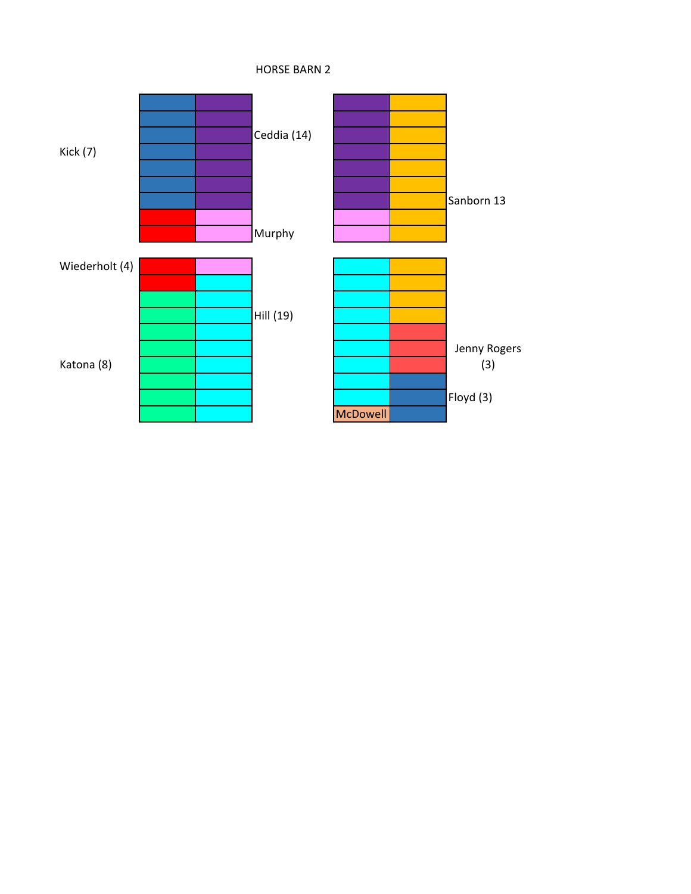

HORSE BARN 2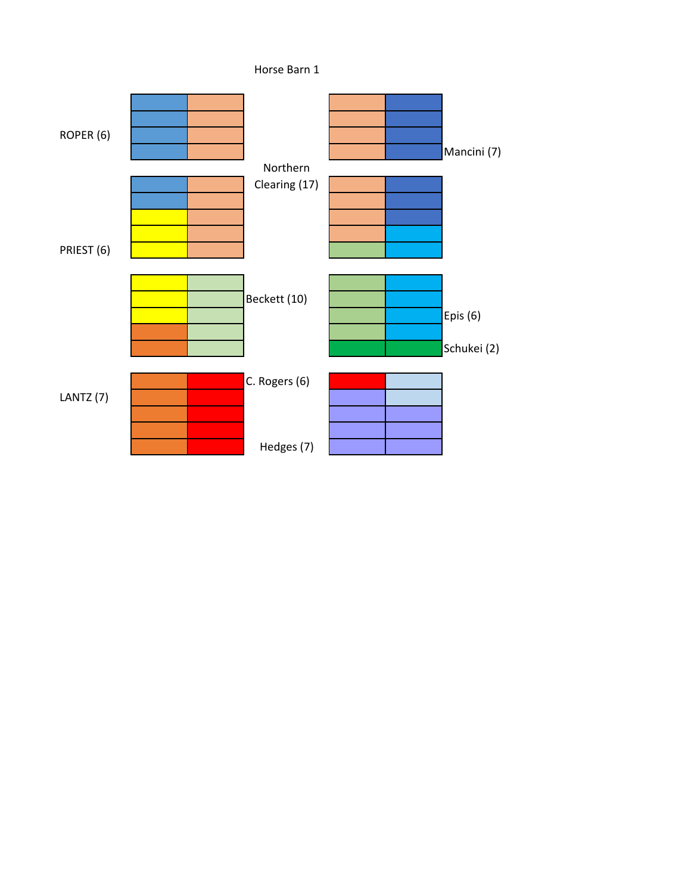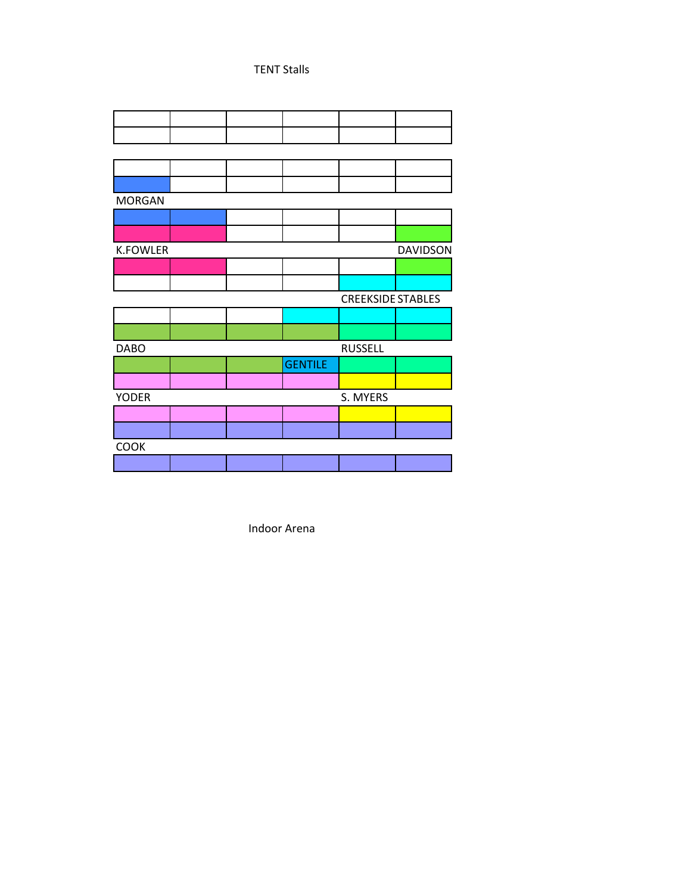## TENT Stalls

| <b>MORGAN</b>   |  |  |                |                          |                 |  |  |  |
|-----------------|--|--|----------------|--------------------------|-----------------|--|--|--|
|                 |  |  |                |                          |                 |  |  |  |
|                 |  |  |                |                          |                 |  |  |  |
| <b>K.FOWLER</b> |  |  |                |                          | <b>DAVIDSON</b> |  |  |  |
|                 |  |  |                |                          |                 |  |  |  |
|                 |  |  |                |                          |                 |  |  |  |
|                 |  |  |                | <b>CREEKSIDE STABLES</b> |                 |  |  |  |
|                 |  |  |                |                          |                 |  |  |  |
|                 |  |  |                |                          |                 |  |  |  |
|                 |  |  |                |                          |                 |  |  |  |
| <b>DABO</b>     |  |  |                | <b>RUSSELL</b>           |                 |  |  |  |
|                 |  |  | <b>GENTILE</b> |                          |                 |  |  |  |
|                 |  |  |                |                          |                 |  |  |  |
| <b>YODER</b>    |  |  |                | S. MYERS                 |                 |  |  |  |
|                 |  |  |                |                          |                 |  |  |  |
|                 |  |  |                |                          |                 |  |  |  |
| COOK            |  |  |                |                          |                 |  |  |  |

Indoor Arena